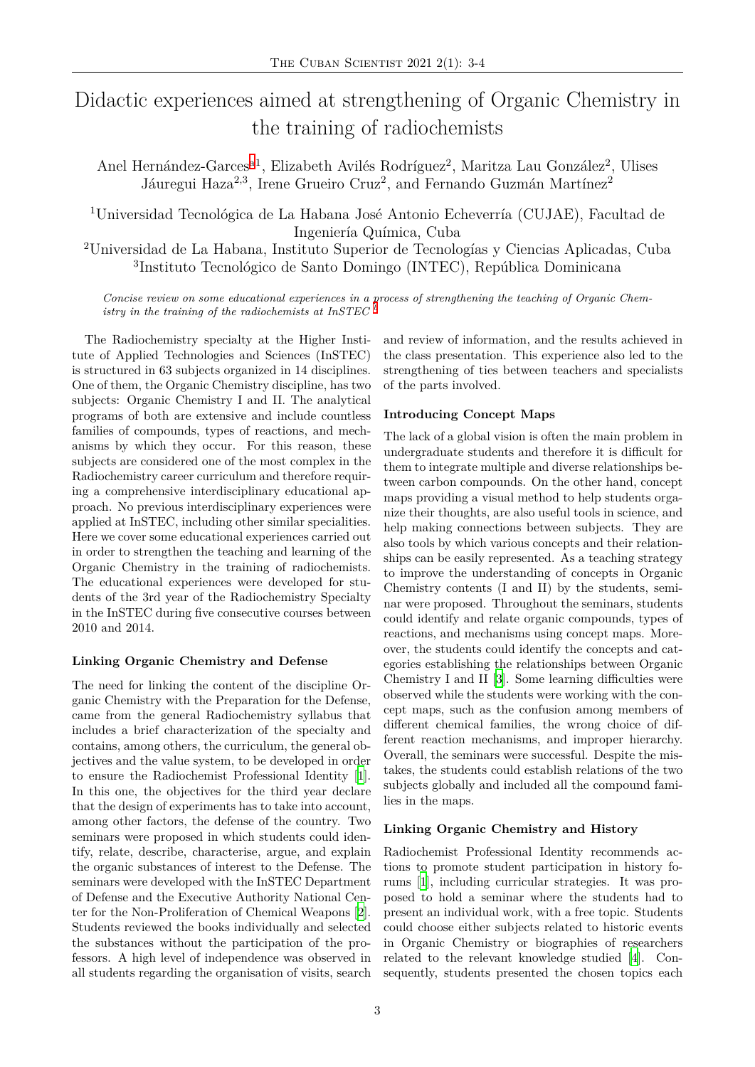# Didactic experiences aimed at strengthening of Organic Chemistry in the training of radiochemists

Anel Hernández-Garces<sup>a1</sup>, Elizabeth Avilés Rodríguez<sup>2</sup>, Maritza Lau González<sup>2</sup>, Ulises Jáuregui Haza<sup>2,3</sup>, Irene Grueiro Cruz<sup>2</sup>, and Fernando Guzmán Martínez<sup>2</sup>

<sup>1</sup>Universidad Tecnológic[a](#page-1-0) de La Habana José Antonio Echeverría (CUJAE), Facultad de Ingeniería Química, Cuba

<sup>2</sup>Universidad de La Habana, Instituto Superior de Tecnologías y Ciencias Aplicadas, Cuba 3 Instituto Tecnológico de Santo Domingo (INTEC), República Dominicana

*Concise review on some educational experiences in a process of strengthening the teaching of Organic Chemistry in the training of the radiochemists at InSTEC <sup>b</sup>*

The Radiochemistry specialty at the Higher Institute of Applied Technologies and Sciences (InSTEC) is structured in 63 subjects organized in 14 disciplines. One of them, the Organic Chemistry discipline, has two subjects: Organic Chemistry I and II. The analytical programs of both are extensive and include countless families of compounds, types of reactions, and mechanisms by which they occur. For this reason, these subjects are considered one of the most complex in the Radiochemistry career curriculum and therefore requiring a comprehensive interdisciplinary educational approach. No previous interdisciplinary experiences were applied at InSTEC, including other similar specialities. Here we cover some educational experiences carried out in order to strengthen the teaching and learning of the Organic Chemistry in the training of radiochemists. The educational experiences were developed for students of the 3rd year of the Radiochemistry Specialty in the InSTEC during five consecutive courses between 2010 and 2014.

#### **Linking Organic Chemistry and Defense**

The need for linking the content of the discipline Organic Chemistry with the Preparation for the Defense, came from the general Radiochemistry syllabus that includes a brief characterization of the specialty and contains, among others, the curriculum, the general objectives and the value system, to be developed in order to ensure the Radiochemist Professional Identity [1]. In this one, the objectives for the third year declare that the design of experiments has to take into account, among other factors, the defense of the country. Two seminars were proposed in which students could id[en](#page-1-1)tify, relate, describe, characterise, argue, and explain the organic substances of interest to the Defense. The seminars were developed with the InSTEC Department of Defense and the Executive Authority National Center for the Non-Proliferation of Chemical Weapons [2]. Students reviewed the books individually and selected the substances without the participation of the professors. A high level of independence was observed in all students regarding the organisation of visits, sea[rc](#page-1-2)h and review of information, and the results achieved in the class presentation. This experience also led to the strengthening of ties between teachers and specialists of the parts involved.

#### **Introducing Concept Maps**

The lack of a global vision is often the main problem in undergraduate students and therefore it is difficult for them to integrate multiple and diverse relationships between carbon compounds. On the other hand, concept maps providing a visual method to help students organize their thoughts, are also useful tools in science, and help making connections between subjects. They are also tools by which various concepts and their relationships can be easily represented. As a teaching strategy to improve the understanding of concepts in Organic Chemistry contents (I and II) by the students, seminar were proposed. Throughout the seminars, students could identify and relate organic compounds, types of reactions, and mechanisms using concept maps. Moreover, the students could identify the concepts and categories establishing the relationships between Organic Chemistry I and II [3]. Some learning difficulties were observed while the students were working with the concept maps, such as the confusion among members of different chemical families, the wrong choice of different reaction mec[ha](#page-1-3)nisms, and improper hierarchy. Overall, the seminars were successful. Despite the mistakes, the students could establish relations of the two subjects globally and included all the compound families in the maps.

#### **Linking Organic Chemistry and History**

Radiochemist Professional Identity recommends actions to promote student participation in history forums [1], including curricular strategies. It was proposed to hold a seminar where the students had to present an individual work, with a free topic. Students could choose either subjects related to historic events in Or[ga](#page-1-1)nic Chemistry or biographies of researchers related to the relevant knowledge studied [4]. Consequently, students presented the chosen topics each